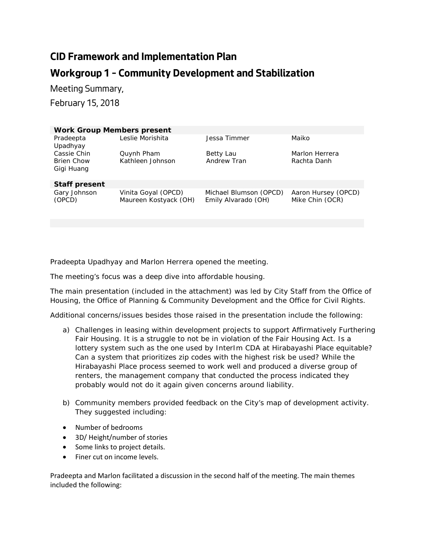## **CID Framework and Implementation Plan Workgroup 1 – Community Development and Stabilization**

Meeting Summary, February 15, 2018

| <b>Work Group Members present</b> |                       |                        |                     |
|-----------------------------------|-----------------------|------------------------|---------------------|
| Pradeepta                         | Leslie Morishita      | Jessa Timmer           | Maiko               |
| Upadhyay                          |                       |                        |                     |
| Cassie Chin                       | Quynh Pham            | Betty Lau              | Marlon Herrera      |
| <b>Brien Chow</b>                 | Kathleen Johnson      | Andrew Tran            | Rachta Danh         |
| Gigi Huang                        |                       |                        |                     |
|                                   |                       |                        |                     |
| <b>Staff present</b>              |                       |                        |                     |
| Gary Johnson                      | Vinita Goyal (OPCD)   | Michael Blumson (OPCD) | Aaron Hursey (OPCD) |
| (OPCD)                            | Maureen Kostyack (OH) | Emily Alvarado (OH)    | Mike Chin (OCR)     |
|                                   |                       |                        |                     |
|                                   |                       |                        |                     |

Pradeepta Upadhyay and Marlon Herrera opened the meeting.

The meeting's focus was a deep dive into affordable housing.

The main presentation (included in the attachment) was led by City Staff from the Office of Housing, the Office of Planning & Community Development and the Office for Civil Rights.

Additional concerns/issues besides those raised in the presentation include the following:

- a) Challenges in leasing within development projects to support Affirmatively Furthering Fair Housing. It is a struggle to not be in violation of the Fair Housing Act. Is a lottery system such as the one used by InterIm CDA at Hirabayashi Place equitable? Can a system that prioritizes zip codes with the highest risk be used? While the Hirabayashi Place process seemed to work well and produced a diverse group of renters, the management company that conducted the process indicated they probably would not do it again given concerns around liability.
- b) Community members provided feedback on the City's map of development activity. They suggested including:
- Number of bedrooms
- 3D/ Height/number of stories
- Some links to project details.
- Finer cut on income levels.

Pradeepta and Marlon facilitated a discussion in the second half of the meeting. The main themes included the following: